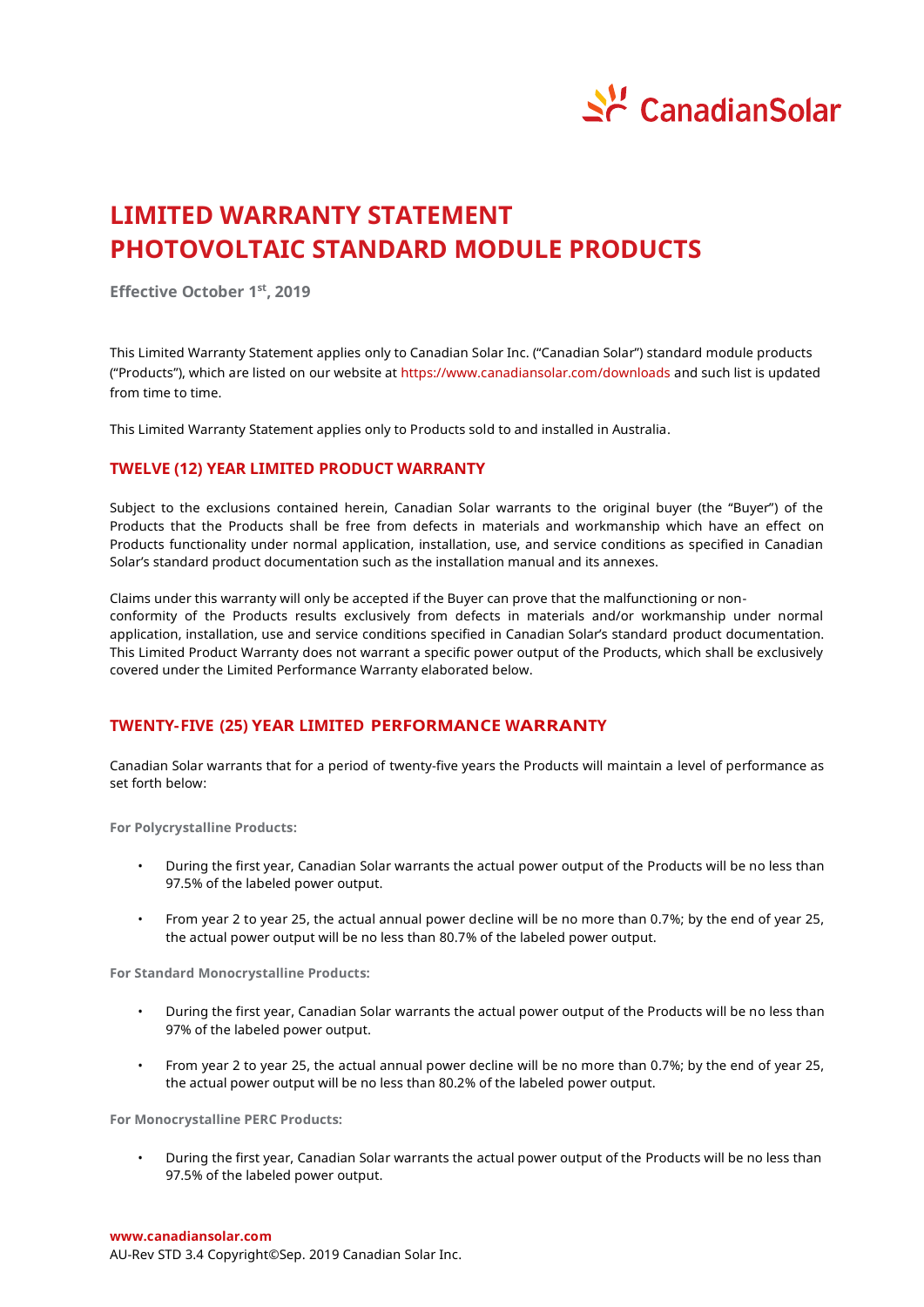

# **LIMITED WARRANTY STATEMENT PHOTOVOLTAIC STANDARD MODULE PRODUCTS**

**Effective October 1 st , 2019**

This Limited Warranty Statement applies only to Canadian Solar Inc. ("Canadian Solar") standard module products ("Products"), which are listed on our website at https://www.canadiansolar.com/downloads and such list is updated from time to time.

This Limited Warranty Statement applies only to Products sold to and installed in Australia.

# **TWELVE (12) YEAR LIMITED PRODUCT WARRANTY**

Subject to the exclusions contained herein, Canadian Solar warrants to the original buyer (the "Buyer") of the Products that the Products shall be free from defects in materials and workmanship which have an effect on Products functionality under normal application, installation, use, and service conditions as specified in Canadian Solar's standard product documentation such as the installation manual and its annexes.

Claims under this warranty will only be accepted if the Buyer can prove that the malfunctioning or nonconformity of the Products results exclusively from defects in materials and/or workmanship under normal application, installation, use and service conditions specified in Canadian Solar's standard product documentation. This Limited Product Warranty does not warrant a specific power output of the Products, which shall be exclusively covered under the Limited Performance Warranty elaborated below.

# **TWENTY-FIVE (25) YEAR LIMITED PERFORMANCE WARRANTY**

Canadian Solar warrants that for a period of twenty-five years the Products will maintain a level of performance as set forth below:

**For Polycrystalline Products:**

- During the first year, Canadian Solar warrants the actual power output of the Products will be no less than 97.5% of the labeled power output.
- From year 2 to year 25, the actual annual power decline will be no more than 0.7%; by the end of year 25, the actual power output will be no less than 80.7% of the labeled power output.

**For Standard Monocrystalline Products:**

- During the first year, Canadian Solar warrants the actual power output of the Products will be no less than 97% of the labeled power output.
- From year 2 to year 25, the actual annual power decline will be no more than 0.7%; by the end of year 25, the actual power output will be no less than 80.2% of the labeled power output.

**For Monocrystalline PERC Products:**

• During the first year, Canadian Solar warrants the actual power output of the Products will be no less than 97.5% of the labeled power output.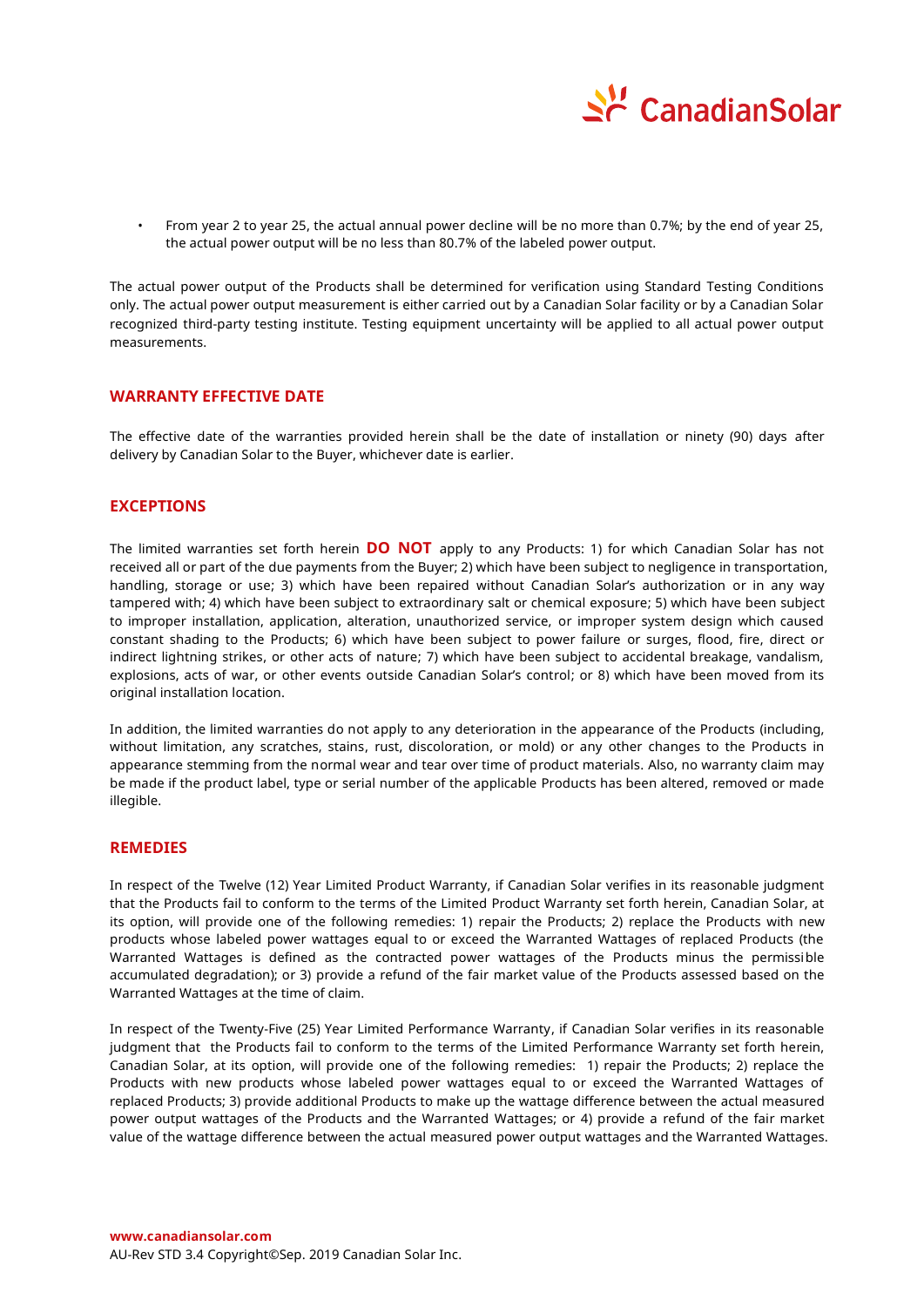

• From year 2 to year 25, the actual annual power decline will be no more than 0.7%; by the end of year 25, the actual power output will be no less than 80.7% of the labeled power output.

The actual power output of the Products shall be determined for verification using Standard Testing Conditions only. The actual power output measurement is either carried out by a Canadian Solar facility or by a Canadian Solar recognized third-party testing institute. Testing equipment uncertainty will be applied to all actual power output measurements.

## **WARRANTY EFFECTIVE DATE**

The effective date of the warranties provided herein shall be the date of installation or ninety (90) days after delivery by Canadian Solar to the Buyer, whichever date is earlier.

## **EXCEPTIONS**

The limited warranties set forth herein **DO NOT** apply to any Products: 1) for which Canadian Solar has not received all or part of the due payments from the Buyer; 2) which have been subject to negligence in transportation, handling, storage or use; 3) which have been repaired without Canadian Solar's authorization or in any way tampered with; 4) which have been subject to extraordinary salt or chemical exposure; 5) which have been subject to improper installation, application, alteration, unauthorized service, or improper system design which caused constant shading to the Products; 6) which have been subject to power failure or surges, flood, fire, direct or indirect lightning strikes, or other acts of nature; 7) which have been subject to accidental breakage, vandalism, explosions, acts of war, or other events outside Canadian Solar's control; or 8) which have been moved from its original installation location.

In addition, the limited warranties do not apply to any deterioration in the appearance of the Products (including, without limitation, any scratches, stains, rust, discoloration, or mold) or any other changes to the Products in appearance stemming from the normal wear and tear over time of product materials. Also, no warranty claim may be made if the product label, type or serial number of the applicable Products has been altered, removed or made illegible.

# **REMEDIES**

In respect of the Twelve (12) Year Limited Product Warranty, if Canadian Solar verifies in its reasonable judgment that the Products fail to conform to the terms of the Limited Product Warranty set forth herein, Canadian Solar, at its option, will provide one of the following remedies: 1) repair the Products; 2) replace the Products with new products whose labeled power wattages equal to or exceed the Warranted Wattages of replaced Products (the Warranted Wattages is defined as the contracted power wattages of the Products minus the permissible accumulated degradation); or 3) provide a refund of the fair market value of the Products assessed based on the Warranted Wattages at the time of claim.

In respect of the Twenty-Five (25) Year Limited Performance Warranty, if Canadian Solar verifies in its reasonable judgment that the Products fail to conform to the terms of the Limited Performance Warranty set forth herein, Canadian Solar, at its option, will provide one of the following remedies: 1) repair the Products; 2) replace the Products with new products whose labeled power wattages equal to or exceed the Warranted Wattages of replaced Products; 3) provide additional Products to make up the wattage difference between the actual measured power output wattages of the Products and the Warranted Wattages; or 4) provide a refund of the fair market value of the wattage difference between the actual measured power output wattages and the Warranted Wattages.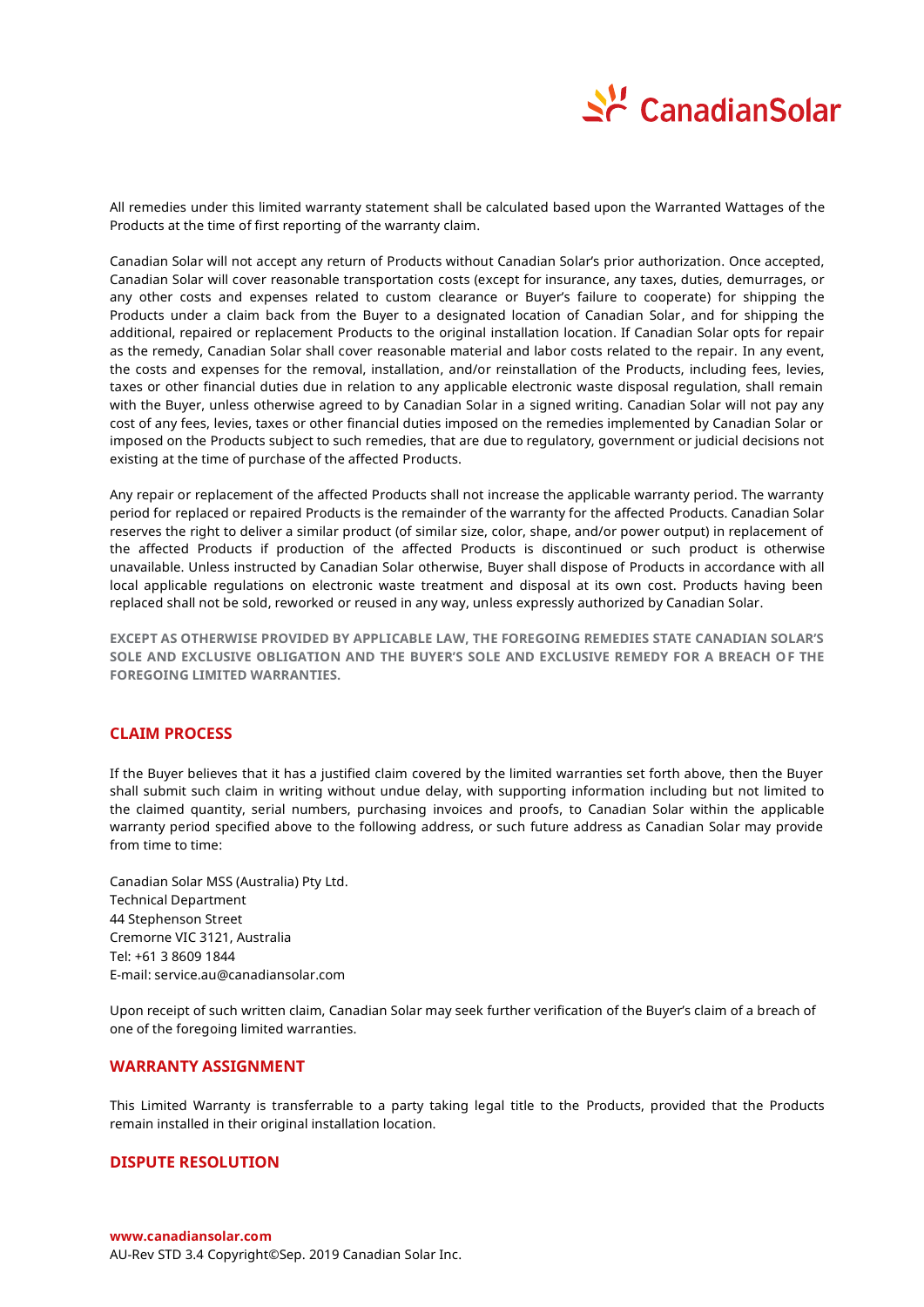

All remedies under this limited warranty statement shall be calculated based upon the Warranted Wattages of the Products at the time of first reporting of the warranty claim.

Canadian Solar will not accept any return of Products without Canadian Solar's prior authorization. Once accepted, Canadian Solar will cover reasonable transportation costs (except for insurance, any taxes, duties, demurrages, or any other costs and expenses related to custom clearance or Buyer's failure to cooperate) for shipping the Products under a claim back from the Buyer to a designated location of Canadian Solar, and for shipping the additional, repaired or replacement Products to the original installation location. If Canadian Solar opts for repair as the remedy, Canadian Solar shall cover reasonable material and labor costs related to the repair. In any event, the costs and expenses for the removal, installation, and/or reinstallation of the Products, including fees, levies, taxes or other financial duties due in relation to any applicable electronic waste disposal regulation, shall remain with the Buyer, unless otherwise agreed to by Canadian Solar in a signed writing. Canadian Solar will not pay any cost of any fees, levies, taxes or other financial duties imposed on the remedies implemented by Canadian Solar or imposed on the Products subject to such remedies, that are due to regulatory, government or judicial decisions not existing at the time of purchase of the affected Products.

Any repair or replacement of the affected Products shall not increase the applicable warranty period. The warranty period for replaced or repaired Products is the remainder of the warranty for the affected Products. Canadian Solar reserves the right to deliver a similar product (of similar size, color, shape, and/or power output) in replacement of the affected Products if production of the affected Products is discontinued or such product is otherwise unavailable. Unless instructed by Canadian Solar otherwise, Buyer shall dispose of Products in accordance with all local applicable regulations on electronic waste treatment and disposal at its own cost. Products having been replaced shall not be sold, reworked or reused in any way, unless expressly authorized by Canadian Solar.

**EXCEPT AS OTHERWISE PROVIDED BY APPLICABLE LAW, THE FOREGOING REMEDIES STATE CANADIAN SOLAR'S SOLE AND EXCLUSIVE OBLIGATION AND THE BUYER'S SOLE AND EXCLUSIVE REMEDY FOR A BREACH OF THE FOREGOING LIMITED WARRANTIES.**

# **CLAIM PROCESS**

If the Buyer believes that it has a justified claim covered by the limited warranties set forth above, then the Buyer shall submit such claim in writing without undue delay, with supporting information including but not limited to the claimed quantity, serial numbers, purchasing invoices and proofs, to Canadian Solar within the applicable warranty period specified above to the following address, or such future address as Canadian Solar may provide from time to time:

Canadian Solar MSS (Australia) Pty Ltd. Technical Department 44 Stephenson Street Cremorne VIC 3121, Australia Tel: +61 3 8609 1844 E-mail: service.au@canadiansolar.com

Upon receipt of such written claim, Canadian Solar may seek further verification of the Buyer's claim of a breach of one of the foregoing limited warranties.

#### **WARRANTY ASSIGNMENT**

This Limited Warranty is transferrable to a party taking legal title to the Products, provided that the Products remain installed in their original installation location.

#### **DISPUTE RESOLUTION**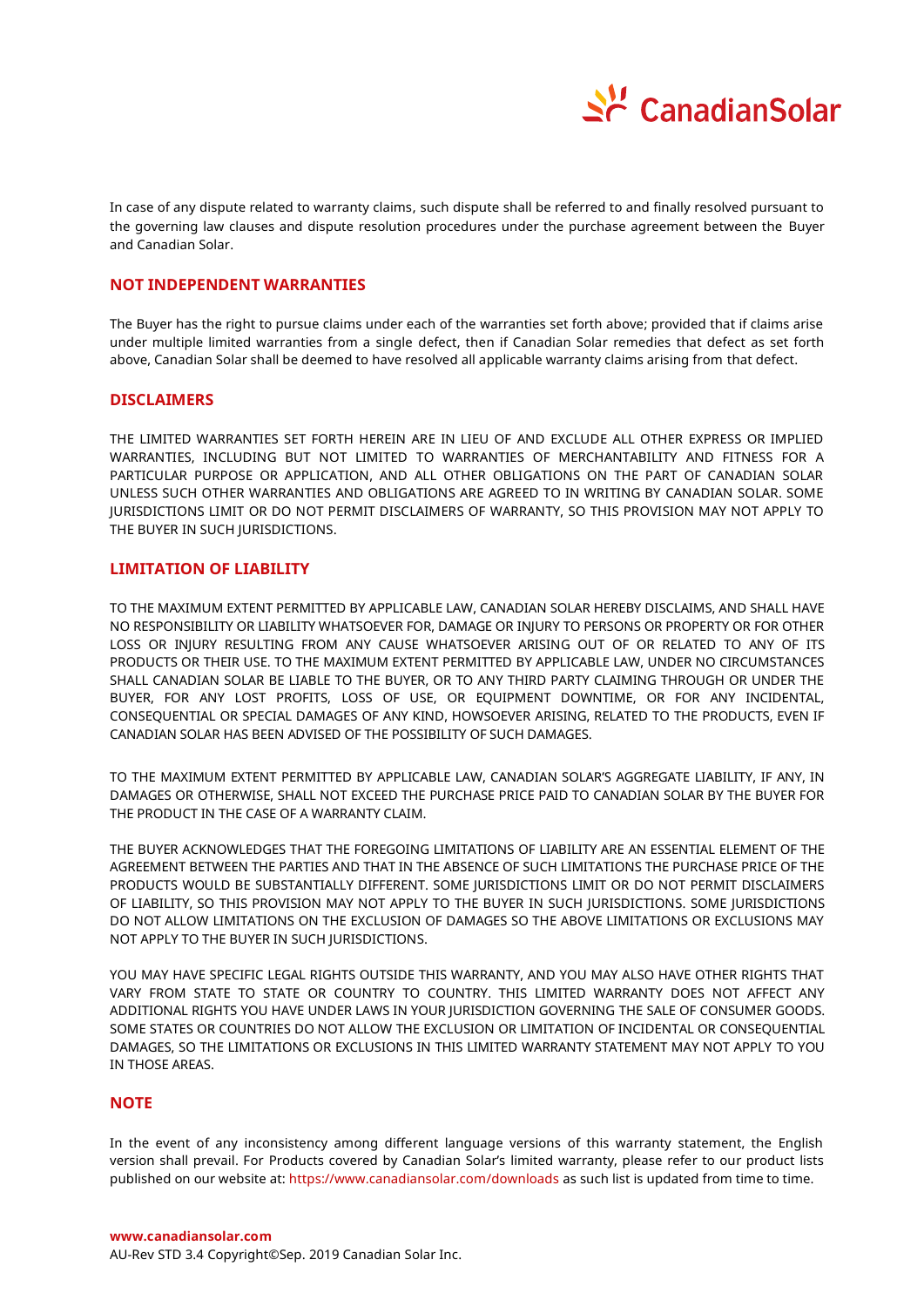

In case of any dispute related to warranty claims, such dispute shall be referred to and finally resolved pursuant to the governing law clauses and dispute resolution procedures under the purchase agreement between the Buyer and Canadian Solar.

## **NOT INDEPENDENT WARRANTIES**

The Buyer has the right to pursue claims under each of the warranties set forth above; provided that if claims arise under multiple limited warranties from a single defect, then if Canadian Solar remedies that defect as set forth above, Canadian Solar shall be deemed to have resolved all applicable warranty claims arising from that defect.

## **DISCLAIMERS**

THE LIMITED WARRANTIES SET FORTH HEREIN ARE IN LIEU OF AND EXCLUDE ALL OTHER EXPRESS OR IMPLIED WARRANTIES, INCLUDING BUT NOT LIMITED TO WARRANTIES OF MERCHANTABILITY AND FITNESS FOR A PARTICULAR PURPOSE OR APPLICATION, AND ALL OTHER OBLIGATIONS ON THE PART OF CANADIAN SOLAR UNLESS SUCH OTHER WARRANTIES AND OBLIGATIONS ARE AGREED TO IN WRITING BY CANADIAN SOLAR. SOME JURISDICTIONS LIMIT OR DO NOT PERMIT DISCLAIMERS OF WARRANTY, SO THIS PROVISION MAY NOT APPLY TO THE BUYER IN SUCH JURISDICTIONS.

## **LIMITATION OF LIABILITY**

TO THE MAXIMUM EXTENT PERMITTED BY APPLICABLE LAW, CANADIAN SOLAR HEREBY DISCLAIMS, AND SHALL HAVE NO RESPONSIBILITY OR LIABILITY WHATSOEVER FOR, DAMAGE OR INJURY TO PERSONS OR PROPERTY OR FOR OTHER LOSS OR INJURY RESULTING FROM ANY CAUSE WHATSOEVER ARISING OUT OF OR RELATED TO ANY OF ITS PRODUCTS OR THEIR USE. TO THE MAXIMUM EXTENT PERMITTED BY APPLICABLE LAW, UNDER NO CIRCUMSTANCES SHALL CANADIAN SOLAR BE LIABLE TO THE BUYER, OR TO ANY THIRD PARTY CLAIMING THROUGH OR UNDER THE BUYER, FOR ANY LOST PROFITS, LOSS OF USE, OR EQUIPMENT DOWNTIME, OR FOR ANY INCIDENTAL, CONSEQUENTIAL OR SPECIAL DAMAGES OF ANY KIND, HOWSOEVER ARISING, RELATED TO THE PRODUCTS, EVEN IF CANADIAN SOLAR HAS BEEN ADVISED OF THE POSSIBILITY OF SUCH DAMAGES.

TO THE MAXIMUM EXTENT PERMITTED BY APPLICABLE LAW, CANADIAN SOLAR'S AGGREGATE LIABILITY, IF ANY, IN DAMAGES OR OTHERWISE, SHALL NOT EXCEED THE PURCHASE PRICE PAID TO CANADIAN SOLAR BY THE BUYER FOR THE PRODUCT IN THE CASE OF A WARRANTY CLAIM.

THE BUYER ACKNOWLEDGES THAT THE FOREGOING LIMITATIONS OF LIABILITY ARE AN ESSENTIAL ELEMENT OF THE AGREEMENT BETWEEN THE PARTIES AND THAT IN THE ABSENCE OF SUCH LIMITATIONS THE PURCHASE PRICE OF THE PRODUCTS WOULD BE SUBSTANTIALLY DIFFERENT. SOME JURISDICTIONS LIMIT OR DO NOT PERMIT DISCLAIMERS OF LIABILITY, SO THIS PROVISION MAY NOT APPLY TO THE BUYER IN SUCH JURISDICTIONS. SOME JURISDICTIONS DO NOT ALLOW LIMITATIONS ON THE EXCLUSION OF DAMAGES SO THE ABOVE LIMITATIONS OR EXCLUSIONS MAY NOT APPLY TO THE BUYER IN SUCH JURISDICTIONS.

YOU MAY HAVE SPECIFIC LEGAL RIGHTS OUTSIDE THIS WARRANTY, AND YOU MAY ALSO HAVE OTHER RIGHTS THAT VARY FROM STATE TO STATE OR COUNTRY TO COUNTRY. THIS LIMITED WARRANTY DOES NOT AFFECT ANY ADDITIONAL RIGHTS YOU HAVE UNDER LAWS IN YOUR JURISDICTION GOVERNING THE SALE OF CONSUMER GOODS. SOME STATES OR COUNTRIES DO NOT ALLOW THE EXCLUSION OR LIMITATION OF INCIDENTAL OR CONSEQUENTIAL DAMAGES, SO THE LIMITATIONS OR EXCLUSIONS IN THIS LIMITED WARRANTY STATEMENT MAY NOT APPLY TO YOU IN THOSE AREAS.

## **NOTE**

In the event of any inconsistency among different language versions of this warranty statement, the English version shall prevail. For Products covered by Canadian Solar's limited warranty, please refer to our product lists published on our website at: https://www.canadiansolar.com/downloads as such list is updated from time to time.